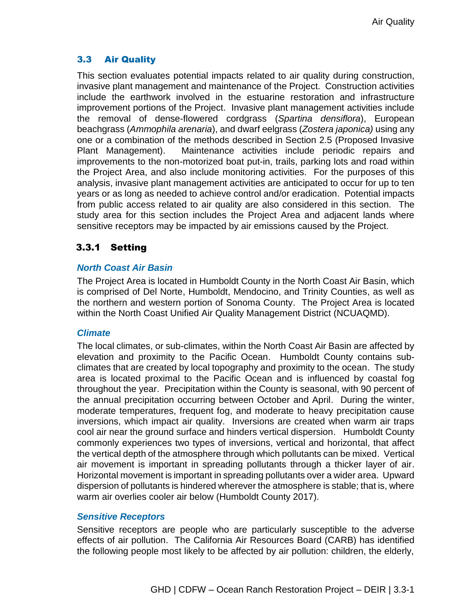# 3.3 Air Quality

This section evaluates potential impacts related to air quality during construction, invasive plant management and maintenance of the Project. Construction activities include the earthwork involved in the estuarine restoration and infrastructure improvement portions of the Project. Invasive plant management activities include the removal of dense-flowered cordgrass (*Spartina densiflora*), European beachgrass (*Ammophila arenaria*), and dwarf eelgrass (*Zostera japonica)* using any one or a combination of the methods described in Section 2.5 (Proposed Invasive Plant Management). Maintenance activities include periodic repairs and improvements to the non-motorized boat put-in, trails, parking lots and road within the Project Area, and also include monitoring activities. For the purposes of this analysis, invasive plant management activities are anticipated to occur for up to ten years or as long as needed to achieve control and/or eradication. Potential impacts from public access related to air quality are also considered in this section. The study area for this section includes the Project Area and adjacent lands where sensitive receptors may be impacted by air emissions caused by the Project.

# 3.3.1 Setting

## *North Coast Air Basin*

The Project Area is located in Humboldt County in the North Coast Air Basin, which is comprised of Del Norte, Humboldt, Mendocino, and Trinity Counties, as well as the northern and western portion of Sonoma County. The Project Area is located within the North Coast Unified Air Quality Management District (NCUAQMD).

## *Climate*

The local climates, or sub-climates, within the North Coast Air Basin are affected by elevation and proximity to the Pacific Ocean. Humboldt County contains subclimates that are created by local topography and proximity to the ocean. The study area is located proximal to the Pacific Ocean and is influenced by coastal fog throughout the year. Precipitation within the County is seasonal, with 90 percent of the annual precipitation occurring between October and April. During the winter, moderate temperatures, frequent fog, and moderate to heavy precipitation cause inversions, which impact air quality. Inversions are created when warm air traps cool air near the ground surface and hinders vertical dispersion. Humboldt County commonly experiences two types of inversions, vertical and horizontal, that affect the vertical depth of the atmosphere through which pollutants can be mixed. Vertical air movement is important in spreading pollutants through a thicker layer of air. Horizontal movement is important in spreading pollutants over a wider area. Upward dispersion of pollutants is hindered wherever the atmosphere is stable; that is, where warm air overlies cooler air below (Humboldt County 2017).

## *Sensitive Receptors*

Sensitive receptors are people who are particularly susceptible to the adverse effects of air pollution. The California Air Resources Board (CARB) has identified the following people most likely to be affected by air pollution: children, the elderly,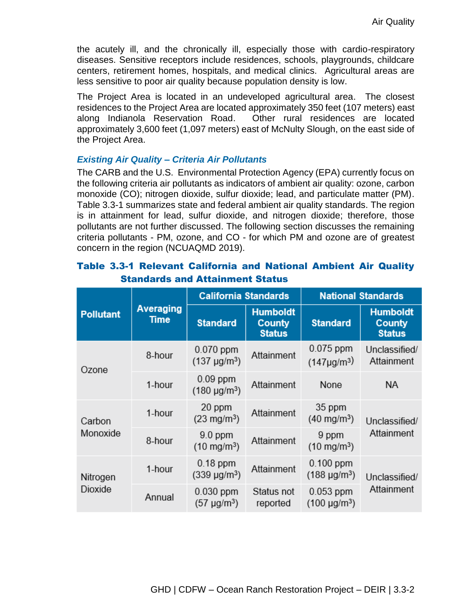the acutely ill, and the chronically ill, especially those with cardio-respiratory diseases. Sensitive receptors include residences, schools, playgrounds, childcare centers, retirement homes, hospitals, and medical clinics. Agricultural areas are less sensitive to poor air quality because population density is low.

The Project Area is located in an undeveloped agricultural area. The closest residences to the Project Area are located approximately 350 feet (107 meters) east along Indianola Reservation Road. Other rural residences are located approximately 3,600 feet (1,097 meters) east of McNulty Slough, on the east side of the Project Area.

#### *Existing Air Quality – Criteria Air Pollutants*

The CARB and the U.S. Environmental Protection Agency (EPA) currently focus on the following criteria air pollutants as indicators of ambient air quality: ozone, carbon monoxide (CO); nitrogen dioxide, sulfur dioxide; lead, and particulate matter (PM). Table 3.3-1 summarizes state and federal ambient air quality standards. The region is in attainment for lead, sulfur dioxide, and nitrogen dioxide; therefore, those pollutants are not further discussed. The following section discusses the remaining criteria pollutants - PM, ozone, and CO - for which PM and ozone are of greatest concern in the region (NCUAQMD 2019).

|                     | Averaging<br>Time | <b>California Standards</b>          |                                                   | <b>National Standards</b>             |                                                   |  |
|---------------------|-------------------|--------------------------------------|---------------------------------------------------|---------------------------------------|---------------------------------------------------|--|
| <b>Pollutant</b>    |                   | <b>Standard</b>                      | <b>Humboldt</b><br><b>County</b><br><b>Status</b> | <b>Standard</b>                       | <b>Humboldt</b><br><b>County</b><br><b>Status</b> |  |
| Ozone               | 8-hour            | $0.070$ ppm<br>$(137 \mu g/m^3)$     | Attainment                                        | $0.075$ ppm<br>$(147 \mu g/m^3)$      | Unclassified/<br>Attainment                       |  |
|                     | 1-hour            | $0.09$ ppm<br>$(180 \text{ µg/m}^3)$ | Attainment                                        | None                                  | ΝA                                                |  |
| Carbon<br>Monoxide  | 1-hour            | 20 ppm<br>$(23 \text{ mg/m}^3)$      | Attainment                                        | 35 ppm<br>$(40 \text{ mg/m}^3)$       | Unclassified/                                     |  |
|                     | 8-hour            | $9.0$ ppm<br>$(10 \text{ mg/m}^3)$   | Attainment                                        | 9 ppm<br>$(10 \text{ mg/m}^3)$        | Attainment                                        |  |
| Nitrogen<br>Dioxide | 1-hour            | $0.18$ ppm<br>$(339 \text{ µg/m}^3)$ | Attainment                                        | $0.100$ ppm<br>$(188 \text{ µg/m}^3)$ | Unclassified/                                     |  |
|                     | Annual            | $0.030$ ppm<br>$(57 \mu g/m^3)$      | Status not<br>reported                            | $0.053$ ppm<br>$(100 \text{ µg/m}^3)$ | Attainment                                        |  |

# Table 3.3-1 Relevant California and National Ambient Air Quality Standards and Attainment Status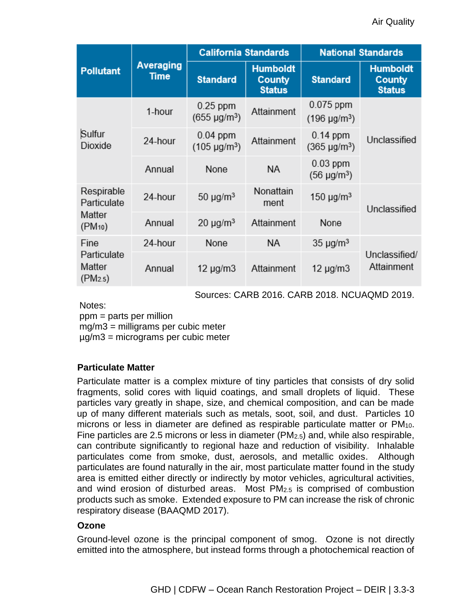|                                                            |                          | <b>California Standards</b>          |                                                   | <b>National Standards</b>             |                                            |  |
|------------------------------------------------------------|--------------------------|--------------------------------------|---------------------------------------------------|---------------------------------------|--------------------------------------------|--|
| <b>Pollutant</b>                                           | Averaging<br><b>Time</b> | <b>Standard</b>                      | <b>Humboldt</b><br><b>County</b><br><b>Status</b> | <b>Standard</b>                       | <b>Humboldt</b><br>County<br><b>Status</b> |  |
| Sulfur<br>Dioxide                                          | 1-hour                   | $0.25$ ppm<br>$(655 \text{ µg/m}^3)$ | Attainment                                        | $0.075$ ppm<br>$(196 \text{ µg/m}^3)$ | Unclassified                               |  |
|                                                            | 24-hour                  | $0.04$ ppm<br>$(105 \text{ µg/m}^3)$ | Attainment                                        | $0.14$ ppm<br>$(365 \text{ µg/m}^3)$  |                                            |  |
|                                                            | Annual                   | None                                 | <b>NA</b>                                         | $0.03$ ppm<br>$(56 \text{ µg/m}^3)$   |                                            |  |
| Respirable<br>Particulate<br>Matter<br>(PM <sub>10</sub> ) | 24-hour                  | $50 \mu g/m^3$                       | Nonattain<br>ment                                 | 150 $\mu$ g/m <sup>3</sup>            | Unclassified                               |  |
|                                                            | Annual                   | $20 \mu g/m3$                        | Attainment                                        | None                                  |                                            |  |
| Fine<br>Particulate<br>Matter<br>(PM <sub>2.5</sub> )      | 24-hour                  | None                                 | NA.                                               | $35 \mu g/m^3$                        |                                            |  |
|                                                            | Annual                   | 12 $\mu$ g/m $3$                     | Attainment                                        | 12 $\mu$ g/m $3$                      | Unclassified/<br>Attainment                |  |

Sources: CARB 2016. CARB 2018. NCUAQMD 2019.

Notes:

ppm = parts per million

mg/m3 = milligrams per cubic meter

µg/m3 = micrograms per cubic meter

## **Particulate Matter**

Particulate matter is a complex mixture of tiny particles that consists of dry solid fragments, solid cores with liquid coatings, and small droplets of liquid. These particles vary greatly in shape, size, and chemical composition, and can be made up of many different materials such as metals, soot, soil, and dust. Particles 10 microns or less in diameter are defined as respirable particulate matter or PM<sub>10</sub>. Fine particles are 2.5 microns or less in diameter ( $PM<sub>2.5</sub>$ ) and, while also respirable, can contribute significantly to regional haze and reduction of visibility. Inhalable particulates come from smoke, dust, aerosols, and metallic oxides. Although particulates are found naturally in the air, most particulate matter found in the study area is emitted either directly or indirectly by motor vehicles, agricultural activities, and wind erosion of disturbed areas. Most PM2.5 is comprised of combustion products such as smoke. Extended exposure to PM can increase the risk of chronic respiratory disease (BAAQMD 2017).

## **Ozone**

Ground-level ozone is the principal component of smog. Ozone is not directly emitted into the atmosphere, but instead forms through a photochemical reaction of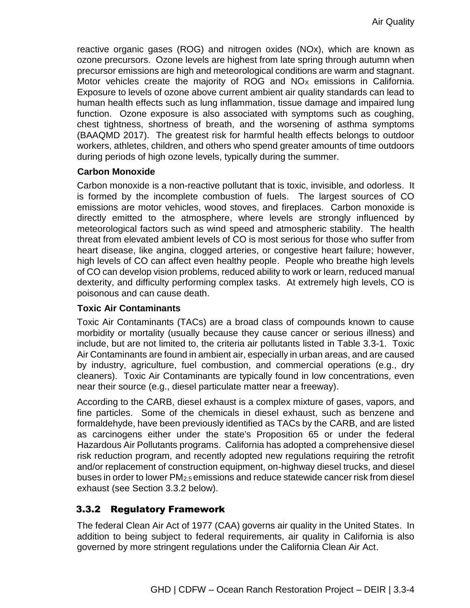reactive organic gases (ROG) and nitrogen oxides (NOx), which are known as ozone precursors. Ozone levels are highest from late spring through autumn when precursor emissions are high and meteorological conditions are warm and stagnant. Motor vehicles create the majority of ROG and  $NO<sub>x</sub>$  emissions in California. Exposure to levels of ozone above current ambient air quality standards can lead to human health effects such as lung inflammation, tissue damage and impaired lung function. Ozone exposure is also associated with symptoms such as coughing, chest tightness, shortness of breath, and the worsening of asthma symptoms (BAAQMD 2017). The greatest risk for harmful health effects belongs to outdoor workers, athletes, children, and others who spend greater amounts of time outdoors during periods of high ozone levels, typically during the summer.

#### **Carbon Monoxide**

Carbon monoxide is a non-reactive pollutant that is toxic, invisible, and odorless. It is formed by the incomplete combustion of fuels. The largest sources of CO emissions are motor vehicles, wood stoves, and fireplaces. Carbon monoxide is directly emitted to the atmosphere, where levels are strongly influenced by meteorological factors such as wind speed and atmospheric stability. The health threat from elevated ambient levels of CO is most serious for those who suffer from heart disease, like angina, clogged arteries, or congestive heart failure; however, high levels of CO can affect even healthy people. People who breathe high levels of CO can develop vision problems, reduced ability to work or learn, reduced manual dexterity, and difficulty performing complex tasks. At extremely high levels, CO is poisonous and can cause death.

## **Toxic Air Contaminants**

Toxic Air Contaminants (TACs) are a broad class of compounds known to cause morbidity or mortality (usually because they cause cancer or serious illness) and include, but are not limited to, the criteria air pollutants listed in Table 3.3-1. Toxic Air Contaminants are found in ambient air, especially in urban areas, and are caused by industry, agriculture, fuel combustion, and commercial operations (e.g., dry cleaners). Toxic Air Contaminants are typically found in low concentrations, even near their source (e.g., diesel particulate matter near a freeway).

According to the CARB, diesel exhaust is a complex mixture of gases, vapors, and fine particles. Some of the chemicals in diesel exhaust, such as benzene and formaldehyde, have been previously identified as TACs by the CARB, and are listed as carcinogens either under the state's Proposition 65 or under the federal Hazardous Air Pollutants programs. California has adopted a comprehensive diesel risk reduction program, and recently adopted new regulations requiring the retrofit and/or replacement of construction equipment, on-highway diesel trucks, and diesel buses in order to lower PM2.5 emissions and reduce statewide cancer risk from diesel exhaust (see Section 3.3.2 below).

# 3.3.2 Regulatory Framework

The federal Clean Air Act of 1977 (CAA) governs air quality in the United States. In addition to being subject to federal requirements, air quality in California is also governed by more stringent regulations under the California Clean Air Act.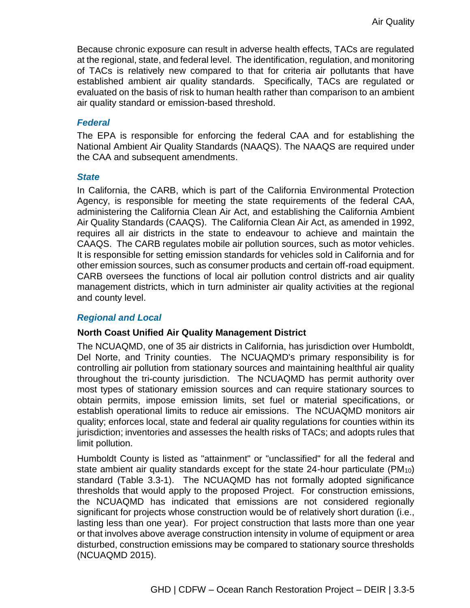Because chronic exposure can result in adverse health effects, TACs are regulated at the regional, state, and federal level. The identification, regulation, and monitoring of TACs is relatively new compared to that for criteria air pollutants that have established ambient air quality standards. Specifically, TACs are regulated or evaluated on the basis of risk to human health rather than comparison to an ambient air quality standard or emission-based threshold.

#### *Federal*

The EPA is responsible for enforcing the federal CAA and for establishing the National Ambient Air Quality Standards (NAAQS). The NAAQS are required under the CAA and subsequent amendments.

#### *State*

In California, the CARB, which is part of the California Environmental Protection Agency, is responsible for meeting the state requirements of the federal CAA, administering the California Clean Air Act, and establishing the California Ambient Air Quality Standards (CAAQS). The California Clean Air Act, as amended in 1992, requires all air districts in the state to endeavour to achieve and maintain the CAAQS. The CARB regulates mobile air pollution sources, such as motor vehicles. It is responsible for setting emission standards for vehicles sold in California and for other emission sources, such as consumer products and certain off-road equipment. CARB oversees the functions of local air pollution control districts and air quality management districts, which in turn administer air quality activities at the regional and county level.

#### *Regional and Local*

## **North Coast Unified Air Quality Management District**

The NCUAQMD, one of 35 air districts in California, has jurisdiction over Humboldt, Del Norte, and Trinity counties. The NCUAQMD's primary responsibility is for controlling air pollution from stationary sources and maintaining healthful air quality throughout the tri-county jurisdiction. The NCUAQMD has permit authority over most types of stationary emission sources and can require stationary sources to obtain permits, impose emission limits, set fuel or material specifications, or establish operational limits to reduce air emissions. The NCUAQMD monitors air quality; enforces local, state and federal air quality regulations for counties within its jurisdiction; inventories and assesses the health risks of TACs; and adopts rules that limit pollution.

Humboldt County is listed as "attainment" or "unclassified" for all the federal and state ambient air quality standards except for the state 24-hour particulate ( $PM_{10}$ ) standard (Table 3.3-1). The NCUAQMD has not formally adopted significance thresholds that would apply to the proposed Project. For construction emissions, the NCUAQMD has indicated that emissions are not considered regionally significant for projects whose construction would be of relatively short duration (i.e., lasting less than one year). For project construction that lasts more than one year or that involves above average construction intensity in volume of equipment or area disturbed, construction emissions may be compared to stationary source thresholds (NCUAQMD 2015).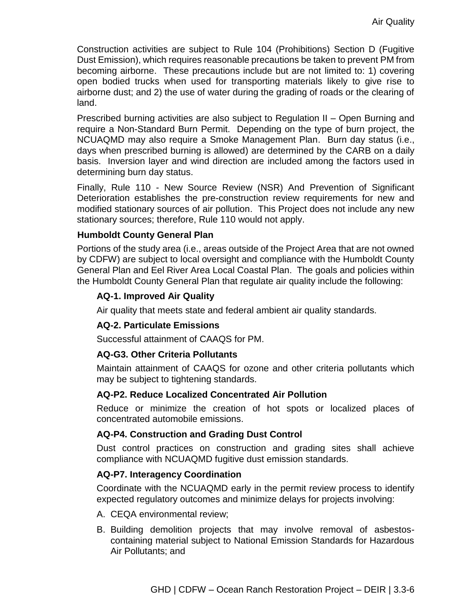Construction activities are subject to Rule 104 (Prohibitions) Section D (Fugitive Dust Emission), which requires reasonable precautions be taken to prevent PM from becoming airborne. These precautions include but are not limited to: 1) covering open bodied trucks when used for transporting materials likely to give rise to airborne dust; and 2) the use of water during the grading of roads or the clearing of land.

Prescribed burning activities are also subject to Regulation II – Open Burning and require a Non-Standard Burn Permit. Depending on the type of burn project, the NCUAQMD may also require a Smoke Management Plan. Burn day status (i.e., days when prescribed burning is allowed) are determined by the CARB on a daily basis. Inversion layer and wind direction are included among the factors used in determining burn day status.

Finally, Rule 110 - New Source Review (NSR) And Prevention of Significant Deterioration establishes the pre-construction review requirements for new and modified stationary sources of air pollution. This Project does not include any new stationary sources; therefore, Rule 110 would not apply.

#### **Humboldt County General Plan**

Portions of the study area (i.e., areas outside of the Project Area that are not owned by CDFW) are subject to local oversight and compliance with the Humboldt County General Plan and Eel River Area Local Coastal Plan. The goals and policies within the Humboldt County General Plan that regulate air quality include the following:

#### **AQ-1. Improved Air Quality**

Air quality that meets state and federal ambient air quality standards.

## **AQ-2. Particulate Emissions**

Successful attainment of CAAQS for PM.

#### **AQ-G3. Other Criteria Pollutants**

Maintain attainment of CAAQS for ozone and other criteria pollutants which may be subject to tightening standards.

#### **AQ-P2. Reduce Localized Concentrated Air Pollution**

Reduce or minimize the creation of hot spots or localized places of concentrated automobile emissions.

#### **AQ-P4. Construction and Grading Dust Control**

Dust control practices on construction and grading sites shall achieve compliance with NCUAQMD fugitive dust emission standards.

#### **AQ-P7. Interagency Coordination**

Coordinate with the NCUAQMD early in the permit review process to identify expected regulatory outcomes and minimize delays for projects involving:

- A. CEQA environmental review;
- B. Building demolition projects that may involve removal of asbestoscontaining material subject to National Emission Standards for Hazardous Air Pollutants; and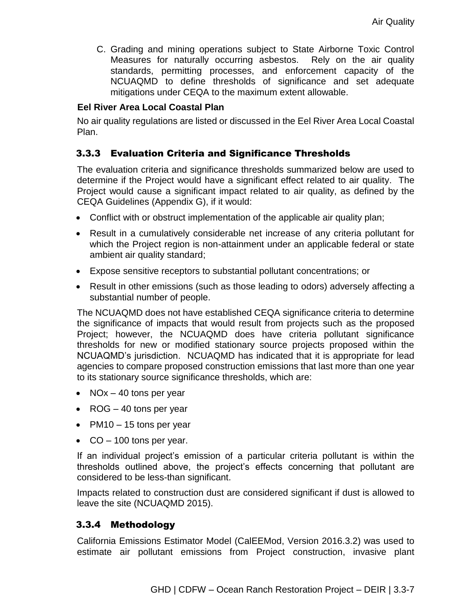C. Grading and mining operations subject to State Airborne Toxic Control Measures for naturally occurring asbestos. Rely on the air quality standards, permitting processes, and enforcement capacity of the NCUAQMD to define thresholds of significance and set adequate mitigations under CEQA to the maximum extent allowable.

# **Eel River Area Local Coastal Plan**

No air quality regulations are listed or discussed in the Eel River Area Local Coastal Plan.

# 3.3.3 Evaluation Criteria and Significance Thresholds

The evaluation criteria and significance thresholds summarized below are used to determine if the Project would have a significant effect related to air quality. The Project would cause a significant impact related to air quality, as defined by the CEQA Guidelines (Appendix G), if it would:

- Conflict with or obstruct implementation of the applicable air quality plan;
- Result in a cumulatively considerable net increase of any criteria pollutant for which the Project region is non-attainment under an applicable federal or state ambient air quality standard;
- Expose sensitive receptors to substantial pollutant concentrations; or
- Result in other emissions (such as those leading to odors) adversely affecting a substantial number of people.

The NCUAQMD does not have established CEQA significance criteria to determine the significance of impacts that would result from projects such as the proposed Project; however, the NCUAQMD does have criteria pollutant significance thresholds for new or modified stationary source projects proposed within the NCUAQMD's jurisdiction. NCUAQMD has indicated that it is appropriate for lead agencies to compare proposed construction emissions that last more than one year to its stationary source significance thresholds, which are:

- NOx  $-$  40 tons per year
- ROG 40 tons per year
- PM10  $-$  15 tons per year
- $\bullet$  CO 100 tons per year.

If an individual project's emission of a particular criteria pollutant is within the thresholds outlined above, the project's effects concerning that pollutant are considered to be less-than significant.

Impacts related to construction dust are considered significant if dust is allowed to leave the site (NCUAQMD 2015).

## 3.3.4 Methodology

California Emissions Estimator Model (CalEEMod, Version 2016.3.2) was used to estimate air pollutant emissions from Project construction, invasive plant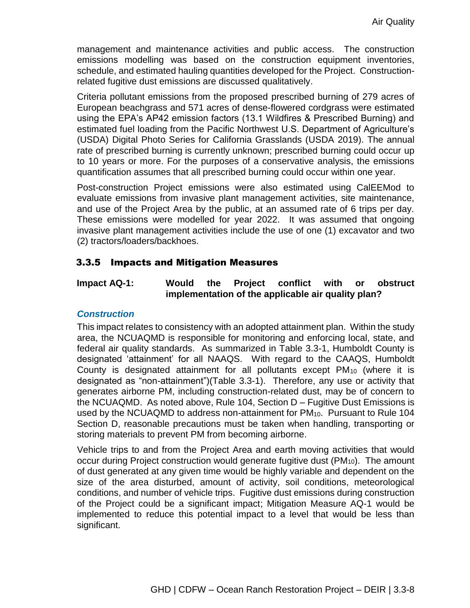management and maintenance activities and public access. The construction emissions modelling was based on the construction equipment inventories, schedule, and estimated hauling quantities developed for the Project. Constructionrelated fugitive dust emissions are discussed qualitatively.

Criteria pollutant emissions from the proposed prescribed burning of 279 acres of European beachgrass and 571 acres of dense-flowered cordgrass were estimated using the EPA's AP42 emission factors (13.1 Wildfires & Prescribed Burning) and estimated fuel loading from the Pacific Northwest U.S. Department of Agriculture's (USDA) Digital Photo Series for California Grasslands (USDA 2019). The annual rate of prescribed burning is currently unknown; prescribed burning could occur up to 10 years or more. For the purposes of a conservative analysis, the emissions quantification assumes that all prescribed burning could occur within one year.

Post-construction Project emissions were also estimated using CalEEMod to evaluate emissions from invasive plant management activities, site maintenance, and use of the Project Area by the public, at an assumed rate of 6 trips per day. These emissions were modelled for year 2022. It was assumed that ongoing invasive plant management activities include the use of one (1) excavator and two (2) tractors/loaders/backhoes.

# 3.3.5 Impacts and Mitigation Measures

### **Impact AQ-1: Would the Project conflict with or obstruct implementation of the applicable air quality plan?**

#### *Construction*

This impact relates to consistency with an adopted attainment plan. Within the study area, the NCUAQMD is responsible for monitoring and enforcing local, state, and federal air quality standards. As summarized in Table 3.3-1, Humboldt County is designated 'attainment' for all NAAQS. With regard to the CAAQS, Humboldt County is designated attainment for all pollutants except PM<sup>10</sup> (where it is designated as "non-attainment")(Table 3.3-1). Therefore, any use or activity that generates airborne PM, including construction-related dust, may be of concern to the NCUAQMD. As noted above, Rule 104, Section D – Fugitive Dust Emissions is used by the NCUAQMD to address non-attainment for PM10. Pursuant to Rule 104 Section D, reasonable precautions must be taken when handling, transporting or storing materials to prevent PM from becoming airborne.

Vehicle trips to and from the Project Area and earth moving activities that would occur during Project construction would generate fugitive dust (PM<sub>10</sub>). The amount of dust generated at any given time would be highly variable and dependent on the size of the area disturbed, amount of activity, soil conditions, meteorological conditions, and number of vehicle trips. Fugitive dust emissions during construction of the Project could be a significant impact; Mitigation Measure AQ-1 would be implemented to reduce this potential impact to a level that would be less than significant.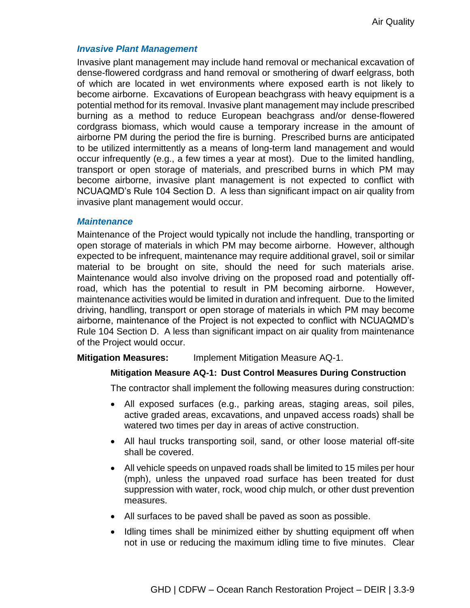#### *Invasive Plant Management*

Invasive plant management may include hand removal or mechanical excavation of dense-flowered cordgrass and hand removal or smothering of dwarf eelgrass, both of which are located in wet environments where exposed earth is not likely to become airborne. Excavations of European beachgrass with heavy equipment is a potential method for its removal. Invasive plant management may include prescribed burning as a method to reduce European beachgrass and/or dense-flowered cordgrass biomass, which would cause a temporary increase in the amount of airborne PM during the period the fire is burning. Prescribed burns are anticipated to be utilized intermittently as a means of long-term land management and would occur infrequently (e.g., a few times a year at most). Due to the limited handling, transport or open storage of materials, and prescribed burns in which PM may become airborne, invasive plant management is not expected to conflict with NCUAQMD's Rule 104 Section D. A less than significant impact on air quality from invasive plant management would occur.

#### *Maintenance*

Maintenance of the Project would typically not include the handling, transporting or open storage of materials in which PM may become airborne. However, although expected to be infrequent, maintenance may require additional gravel, soil or similar material to be brought on site, should the need for such materials arise. Maintenance would also involve driving on the proposed road and potentially offroad, which has the potential to result in PM becoming airborne. However, maintenance activities would be limited in duration and infrequent. Due to the limited driving, handling, transport or open storage of materials in which PM may become airborne, maintenance of the Project is not expected to conflict with NCUAQMD's Rule 104 Section D. A less than significant impact on air quality from maintenance of the Project would occur.

#### **Mitigation Measures:** Implement Mitigation Measure AQ-1.

#### **Mitigation Measure AQ-1: Dust Control Measures During Construction**

The contractor shall implement the following measures during construction:

- All exposed surfaces (e.g., parking areas, staging areas, soil piles, active graded areas, excavations, and unpaved access roads) shall be watered two times per day in areas of active construction.
- All haul trucks transporting soil, sand, or other loose material off-site shall be covered.
- All vehicle speeds on unpaved roads shall be limited to 15 miles per hour (mph), unless the unpaved road surface has been treated for dust suppression with water, rock, wood chip mulch, or other dust prevention measures.
- All surfaces to be paved shall be paved as soon as possible.
- Idling times shall be minimized either by shutting equipment off when not in use or reducing the maximum idling time to five minutes. Clear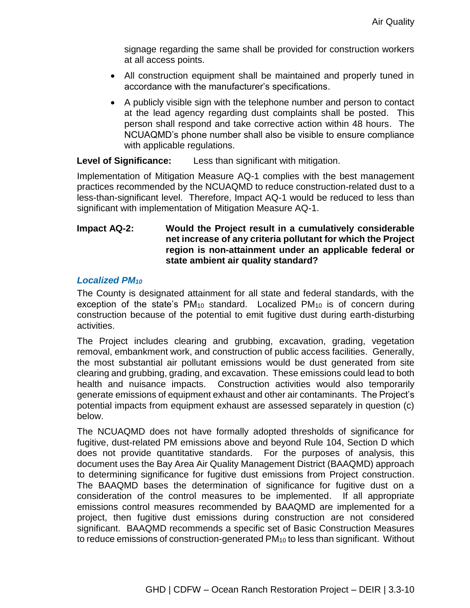signage regarding the same shall be provided for construction workers at all access points.

- All construction equipment shall be maintained and properly tuned in accordance with the manufacturer's specifications.
- A publicly visible sign with the telephone number and person to contact at the lead agency regarding dust complaints shall be posted. This person shall respond and take corrective action within 48 hours. The NCUAQMD's phone number shall also be visible to ensure compliance with applicable regulations.

**Level of Significance:** Less than significant with mitigation.

Implementation of Mitigation Measure AQ-1 complies with the best management practices recommended by the NCUAQMD to reduce construction-related dust to a less-than-significant level. Therefore, Impact AQ-1 would be reduced to less than significant with implementation of Mitigation Measure AQ-1.

# **Impact AQ-2: Would the Project result in a cumulatively considerable net increase of any criteria pollutant for which the Project region is non-attainment under an applicable federal or state ambient air quality standard?**

## *Localized PM<sup>10</sup>*

The County is designated attainment for all state and federal standards, with the exception of the state's PM<sub>10</sub> standard. Localized PM<sub>10</sub> is of concern during construction because of the potential to emit fugitive dust during earth-disturbing activities.

The Project includes clearing and grubbing, excavation, grading, vegetation removal, embankment work, and construction of public access facilities. Generally, the most substantial air pollutant emissions would be dust generated from site clearing and grubbing, grading, and excavation. These emissions could lead to both health and nuisance impacts. Construction activities would also temporarily generate emissions of equipment exhaust and other air contaminants. The Project's potential impacts from equipment exhaust are assessed separately in question (c) below.

The NCUAQMD does not have formally adopted thresholds of significance for fugitive, dust-related PM emissions above and beyond Rule 104, Section D which does not provide quantitative standards. For the purposes of analysis, this document uses the Bay Area Air Quality Management District (BAAQMD) approach to determining significance for fugitive dust emissions from Project construction. The BAAQMD bases the determination of significance for fugitive dust on a consideration of the control measures to be implemented. If all appropriate emissions control measures recommended by BAAQMD are implemented for a project, then fugitive dust emissions during construction are not considered significant. BAAQMD recommends a specific set of Basic Construction Measures to reduce emissions of construction-generated PM<sub>10</sub> to less than significant. Without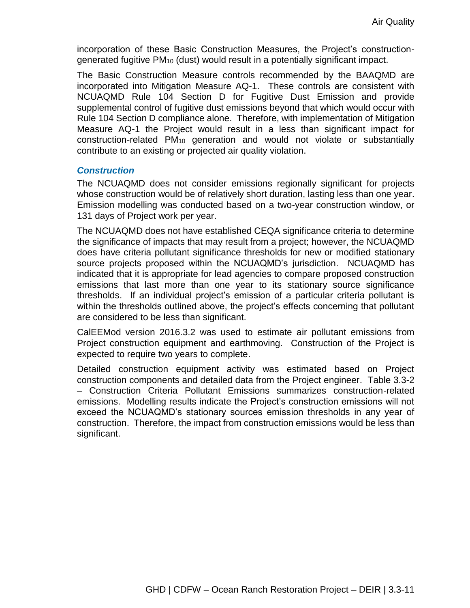incorporation of these Basic Construction Measures, the Project's constructiongenerated fugitive PM<sup>10</sup> (dust) would result in a potentially significant impact.

The Basic Construction Measure controls recommended by the BAAQMD are incorporated into Mitigation Measure AQ-1. These controls are consistent with NCUAQMD Rule 104 Section D for Fugitive Dust Emission and provide supplemental control of fugitive dust emissions beyond that which would occur with Rule 104 Section D compliance alone. Therefore, with implementation of Mitigation Measure AQ-1 the Project would result in a less than significant impact for construction-related PM<sup>10</sup> generation and would not violate or substantially contribute to an existing or projected air quality violation.

#### *Construction*

The NCUAQMD does not consider emissions regionally significant for projects whose construction would be of relatively short duration, lasting less than one year. Emission modelling was conducted based on a two-year construction window, or 131 days of Project work per year.

The NCUAQMD does not have established CEQA significance criteria to determine the significance of impacts that may result from a project; however, the NCUAQMD does have criteria pollutant significance thresholds for new or modified stationary source projects proposed within the NCUAQMD's jurisdiction. NCUAQMD has indicated that it is appropriate for lead agencies to compare proposed construction emissions that last more than one year to its stationary source significance thresholds. If an individual project's emission of a particular criteria pollutant is within the thresholds outlined above, the project's effects concerning that pollutant are considered to be less than significant.

CalEEMod version 2016.3.2 was used to estimate air pollutant emissions from Project construction equipment and earthmoving. Construction of the Project is expected to require two years to complete.

Detailed construction equipment activity was estimated based on Project construction components and detailed data from the Project engineer. Table 3.3-2 – Construction Criteria Pollutant Emissions summarizes construction-related emissions. Modelling results indicate the Project's construction emissions will not exceed the NCUAQMD's stationary sources emission thresholds in any year of construction. Therefore, the impact from construction emissions would be less than significant.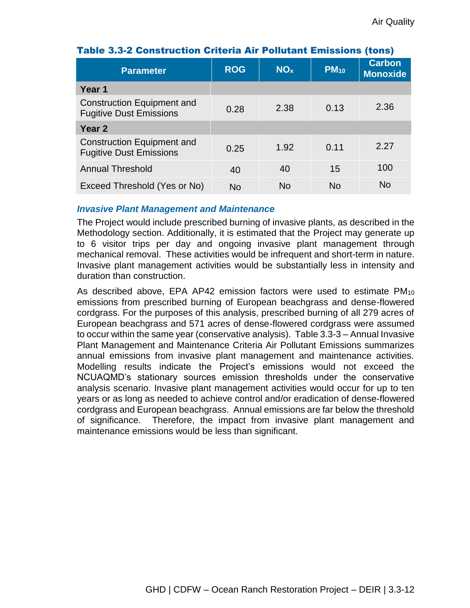| <b>Parameter</b>                                             | <b>ROG</b> | <b>NO<sub>x</sub></b> | $PM_{10}$ | <b>Carbon</b><br><b>Monoxide</b> |
|--------------------------------------------------------------|------------|-----------------------|-----------|----------------------------------|
| Year 1                                                       |            |                       |           |                                  |
| Construction Equipment and<br><b>Fugitive Dust Emissions</b> | 0.28       | 2.38                  | 0.13      | 2.36                             |
| Year 2                                                       |            |                       |           |                                  |
| Construction Equipment and<br><b>Fugitive Dust Emissions</b> | 0.25       | 1.92                  | 0.11      | 2.27                             |
| <b>Annual Threshold</b>                                      | 40         | 40                    | 15        | 100                              |
| Exceed Threshold (Yes or No)                                 | No         | <b>No</b>             | No        | N <sub>o</sub>                   |

# Table 3.3-2 Construction Criteria Air Pollutant Emissions (tons)

#### *Invasive Plant Management and Maintenance*

The Project would include prescribed burning of invasive plants, as described in the Methodology section. Additionally, it is estimated that the Project may generate up to 6 visitor trips per day and ongoing invasive plant management through mechanical removal. These activities would be infrequent and short-term in nature. Invasive plant management activities would be substantially less in intensity and duration than construction.

As described above, EPA AP42 emission factors were used to estimate PM<sub>10</sub> emissions from prescribed burning of European beachgrass and dense-flowered cordgrass. For the purposes of this analysis, prescribed burning of all 279 acres of European beachgrass and 571 acres of dense-flowered cordgrass were assumed to occur within the same year (conservative analysis). Table 3.3-3 – Annual Invasive Plant Management and Maintenance Criteria Air Pollutant Emissions summarizes annual emissions from invasive plant management and maintenance activities. Modelling results indicate the Project's emissions would not exceed the NCUAQMD's stationary sources emission thresholds under the conservative analysis scenario. Invasive plant management activities would occur for up to ten years or as long as needed to achieve control and/or eradication of dense-flowered cordgrass and European beachgrass. Annual emissions are far below the threshold of significance. Therefore, the impact from invasive plant management and maintenance emissions would be less than significant.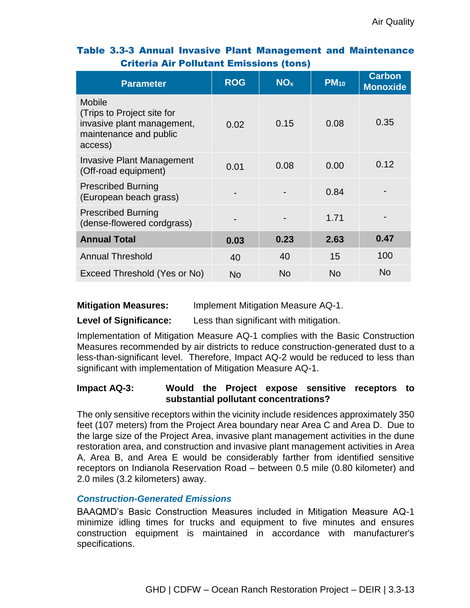| <b>Parameter</b>                                                                                               | <b>ROG</b> | NO <sub>x</sub> | $PM_{10}$ | <b>Carbon</b><br><b>Monoxide</b> |
|----------------------------------------------------------------------------------------------------------------|------------|-----------------|-----------|----------------------------------|
| <b>Mobile</b><br>(Trips to Project site for<br>invasive plant management,<br>maintenance and public<br>access) | 0.02       | 0.15            | 0.08      | 0.35                             |
| <b>Invasive Plant Management</b><br>(Off-road equipment)                                                       | 0.01       | 0.08            | 0.00      | 0.12                             |
| <b>Prescribed Burning</b><br>(European beach grass)                                                            |            |                 | 0.84      |                                  |
| <b>Prescribed Burning</b><br>(dense-flowered cordgrass)                                                        |            |                 | 1.71      |                                  |
| <b>Annual Total</b>                                                                                            | 0.03       | 0.23            | 2.63      | 0.47                             |
| <b>Annual Threshold</b>                                                                                        | 40         | 40              | 15        | 100                              |
| Exceed Threshold (Yes or No)                                                                                   | <b>No</b>  | <b>No</b>       | <b>No</b> | <b>No</b>                        |

# Table 3.3-3 Annual Invasive Plant Management and Maintenance Criteria Air Pollutant Emissions (tons)

## **Mitigation Measures:** Implement Mitigation Measure AQ-1.

## **Level of Significance:** Less than significant with mitigation.

Implementation of Mitigation Measure AQ-1 complies with the Basic Construction Measures recommended by air districts to reduce construction-generated dust to a less-than-significant level. Therefore, Impact AQ-2 would be reduced to less than significant with implementation of Mitigation Measure AQ-1.

## **Impact AQ-3: Would the Project expose sensitive receptors to substantial pollutant concentrations?**

The only sensitive receptors within the vicinity include residences approximately 350 feet (107 meters) from the Project Area boundary near Area C and Area D. Due to the large size of the Project Area, invasive plant management activities in the dune restoration area, and construction and invasive plant management activities in Area A, Area B, and Area E would be considerably farther from identified sensitive receptors on Indianola Reservation Road – between 0.5 mile (0.80 kilometer) and 2.0 miles (3.2 kilometers) away.

## *Construction-Generated Emissions*

BAAQMD's Basic Construction Measures included in Mitigation Measure AQ-1 minimize idling times for trucks and equipment to five minutes and ensures construction equipment is maintained in accordance with manufacturer's specifications.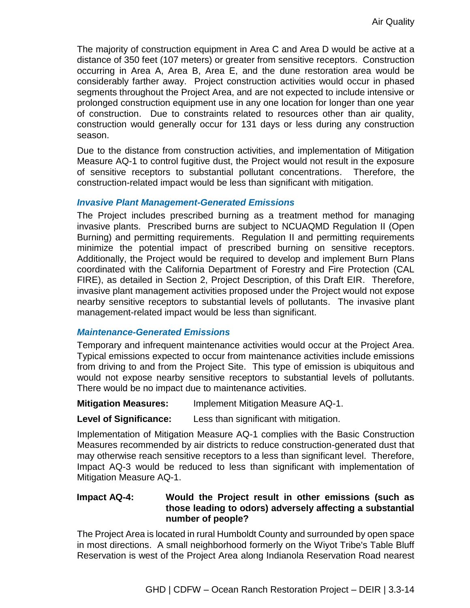The majority of construction equipment in Area C and Area D would be active at a distance of 350 feet (107 meters) or greater from sensitive receptors. Construction occurring in Area A, Area B, Area E, and the dune restoration area would be considerably farther away. Project construction activities would occur in phased segments throughout the Project Area, and are not expected to include intensive or prolonged construction equipment use in any one location for longer than one year of construction. Due to constraints related to resources other than air quality, construction would generally occur for 131 days or less during any construction season.

Due to the distance from construction activities, and implementation of Mitigation Measure AQ-1 to control fugitive dust, the Project would not result in the exposure of sensitive receptors to substantial pollutant concentrations. Therefore, the construction-related impact would be less than significant with mitigation.

#### *Invasive Plant Management-Generated Emissions*

The Project includes prescribed burning as a treatment method for managing invasive plants. Prescribed burns are subject to NCUAQMD Regulation II (Open Burning) and permitting requirements. Regulation II and permitting requirements minimize the potential impact of prescribed burning on sensitive receptors. Additionally, the Project would be required to develop and implement Burn Plans coordinated with the California Department of Forestry and Fire Protection (CAL FIRE), as detailed in Section 2, Project Description, of this Draft EIR. Therefore, invasive plant management activities proposed under the Project would not expose nearby sensitive receptors to substantial levels of pollutants. The invasive plant management-related impact would be less than significant.

### *Maintenance-Generated Emissions*

Temporary and infrequent maintenance activities would occur at the Project Area. Typical emissions expected to occur from maintenance activities include emissions from driving to and from the Project Site. This type of emission is ubiquitous and would not expose nearby sensitive receptors to substantial levels of pollutants. There would be no impact due to maintenance activities.

#### **Mitigation Measures:** Implement Mitigation Measure AQ-1.

#### **Level of Significance:** Less than significant with mitigation.

Implementation of Mitigation Measure AQ-1 complies with the Basic Construction Measures recommended by air districts to reduce construction-generated dust that may otherwise reach sensitive receptors to a less than significant level. Therefore, Impact AQ-3 would be reduced to less than significant with implementation of Mitigation Measure AQ-1.

# **Impact AQ-4: Would the Project result in other emissions (such as those leading to odors) adversely affecting a substantial number of people?**

The Project Area is located in rural Humboldt County and surrounded by open space in most directions. A small neighborhood formerly on the Wiyot Tribe's Table Bluff Reservation is west of the Project Area along Indianola Reservation Road nearest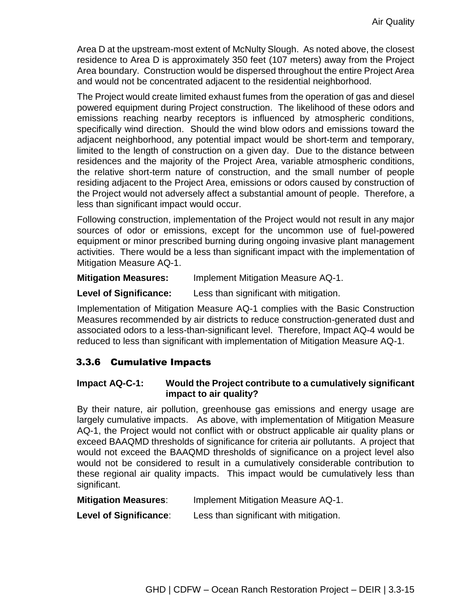Area D at the upstream-most extent of McNulty Slough. As noted above, the closest residence to Area D is approximately 350 feet (107 meters) away from the Project Area boundary. Construction would be dispersed throughout the entire Project Area and would not be concentrated adjacent to the residential neighborhood.

The Project would create limited exhaust fumes from the operation of gas and diesel powered equipment during Project construction. The likelihood of these odors and emissions reaching nearby receptors is influenced by atmospheric conditions, specifically wind direction. Should the wind blow odors and emissions toward the adjacent neighborhood, any potential impact would be short-term and temporary, limited to the length of construction on a given day. Due to the distance between residences and the majority of the Project Area, variable atmospheric conditions, the relative short-term nature of construction, and the small number of people residing adjacent to the Project Area, emissions or odors caused by construction of the Project would not adversely affect a substantial amount of people. Therefore, a less than significant impact would occur.

Following construction, implementation of the Project would not result in any major sources of odor or emissions, except for the uncommon use of fuel-powered equipment or minor prescribed burning during ongoing invasive plant management activities. There would be a less than significant impact with the implementation of Mitigation Measure AQ-1.

**Mitigation Measures:** Implement Mitigation Measure AQ-1.

**Level of Significance:** Less than significant with mitigation.

Implementation of Mitigation Measure AQ-1 complies with the Basic Construction Measures recommended by air districts to reduce construction-generated dust and associated odors to a less-than-significant level. Therefore, Impact AQ-4 would be reduced to less than significant with implementation of Mitigation Measure AQ-1.

# 3.3.6 Cumulative Impacts

# **Impact AQ-C-1: Would the Project contribute to a cumulatively significant impact to air quality?**

By their nature, air pollution, greenhouse gas emissions and energy usage are largely cumulative impacts. As above, with implementation of Mitigation Measure AQ-1, the Project would not conflict with or obstruct applicable air quality plans or exceed BAAQMD thresholds of significance for criteria air pollutants. A project that would not exceed the BAAQMD thresholds of significance on a project level also would not be considered to result in a cumulatively considerable contribution to these regional air quality impacts. This impact would be cumulatively less than significant.

| <b>Mitigation Measures:</b> | Implement Mitigation Measure AQ-1. |
|-----------------------------|------------------------------------|
|-----------------------------|------------------------------------|

**Level of Significance**: Less than significant with mitigation.